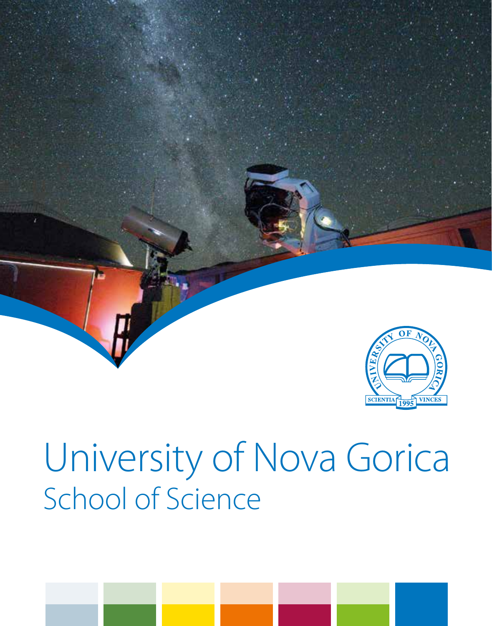

# University of Nova Gorica School of Science

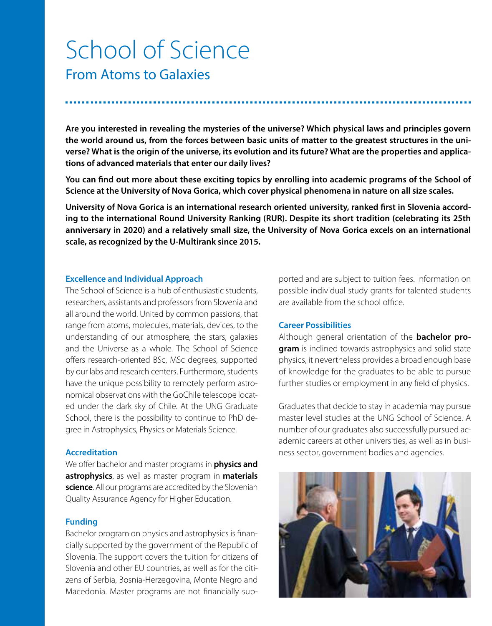## School of Science

From Atoms to Galaxies

**Are you interested in revealing the mysteries of the universe? Which physical laws and principles govern the world around us, from the forces between basic units of matter to the greatest structures in the universe? What is the origin of the universe, its evolution and its future? What are the properties and applications of advanced materials that enter our daily lives?**

**You can find out more about these exciting topics by enrolling into academic programs of the School of Science at the University of Nova Gorica, which cover physical phenomena in nature on all size scales.**

**University of Nova Gorica is an international research oriented university, ranked first in Slovenia according to the international Round University Ranking (RUR). Despite its short tradition (celebrating its 25th anniversary in 2020) and a relatively small size, the University of Nova Gorica excels on an international scale, as recognized by the U-Multirank since 2015.**

#### **Excellence and Individual Approach**

The School of Science is a hub of enthusiastic students, researchers, assistants and professors from Slovenia and all around the world. United by common passions, that range from atoms, molecules, materials, devices, to the understanding of our atmosphere, the stars, galaxies and the Universe as a whole. The School of Science offers research-oriented BSc, MSc degrees, supported by our labs and research centers. Furthermore, students have the unique possibility to remotely perform astronomical observations with the GoChile telescope located under the dark sky of Chile. At the UNG Graduate School, there is the possibility to continue to PhD degree in Astrophysics, Physics or Materials Science.

#### **Accreditation**

We offer bachelor and master programs in **physics and astrophysics**, as well as master program in **materials science**. All our programs are accredited by the Slovenian Quality Assurance Agency for Higher Education.

#### **Funding**

Bachelor program on physics and astrophysics is financially supported by the government of the Republic of Slovenia. The support covers the tuition for citizens of Slovenia and other EU countries, as well as for the citizens of Serbia, Bosnia-Herzegovina, Monte Negro and Macedonia. Master programs are not financially supported and are subject to tuition fees. Information on possible individual study grants for talented students are available from the school office.

#### **Career Possibilities**

Although general orientation of the **bachelor program** is inclined towards astrophysics and solid state physics, it nevertheless provides a broad enough base of knowledge for the graduates to be able to pursue further studies or employment in any field of physics.

Graduates that decide to stay in academia may pursue master level studies at the UNG School of Science. A number of our graduates also successfully pursued academic careers at other universities, as well as in business sector, government bodies and agencies.

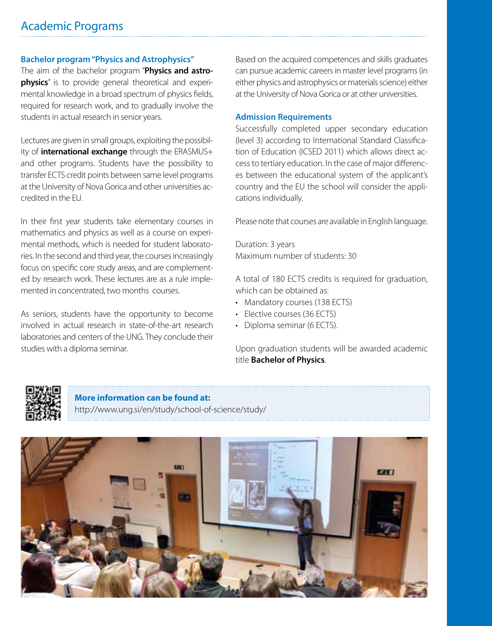#### **Bachelor program "Physics and Astrophysics"**

The aim of the bachelor program "**Physics and astrophysics**" is to provide general theoretical and experimental knowledge in a broad spectrum of physics fields, required for research work, and to gradually involve the students in actual research in senior years.

Lectures are given in small groups, exploiting the possibility of **international exchange** through the ERASMUS+ and other programs. Students have the possibility to transfer ECTS credit points between same level programs at the University of Nova Gorica and other universities accredited in the EU.

In their first year students take elementary courses in mathematics and physics as well as a course on experimental methods, which is needed for student laboratories. In the second and third year, the courses increasingly focus on specific core study areas, and are complemented by research work. These lectures are as a rule implemented in concentrated, two months courses.

As seniors, students have the opportunity to become involved in actual research in state-of-the-art research laboratories and centers of the UNG. They conclude their studies with a diploma seminar.

Based on the acquired competences and skills graduates can pursue academic careers in master level programs (in either physics and astrophysics or materials science) either at the University of Nova Gorica or at other universities.

#### **Admission Requirements**

Successfully completed upper secondary education (level 3) according to International Standard Classification of Education (ICSED 2011) which allows direct access to tertiary education. In the case of major differences between the educational system of the applicant's country and the EU the school will consider the applications individually.

Please note that courses are available in English language.

Duration: 3 years Maximum number of students: 30

A total of 180 ECTS credits is required for graduation, which can be obtained as:

- Mandatory courses (138 FCTS)
- Elective courses (36 ECTS)
- Diploma seminar (6 ECTS)

Upon graduation students will be awarded academic title **Bachelor of Physics**.



**More information can be found at:** http://www.ung.si/en/study/school-of-science/study/

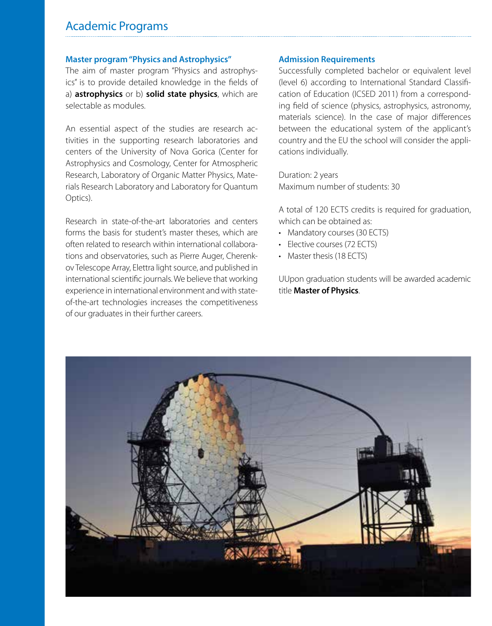### Academic Programs

#### **Master program "Physics and Astrophysics"**

The aim of master program "Physics and astrophysics" is to provide detailed knowledge in the fields of a) **astrophysics** or b) **solid state physics**, which are selectable as modules.

An essential aspect of the studies are research activities in the supporting research laboratories and centers of the University of Nova Gorica (Center for Astrophysics and Cosmology, Center for Atmospheric Research, Laboratory of Organic Matter Physics, Materials Research Laboratory and Laboratory for Quantum Optics).

Research in state-of-the-art laboratories and centers forms the basis for student's master theses, which are often related to research within international collaborations and observatories, such as Pierre Auger, Cherenkov Telescope Array, Elettra light source, and published in international scientific journals. We believe that working experience in international environment and with stateof-the-art technologies increases the competitiveness of our graduates in their further careers.

#### **Admission Requirements**

Successfully completed bachelor or equivalent level (level 6) according to International Standard Classification of Education (ICSED 2011) from a corresponding field of science (physics, astrophysics, astronomy, materials science). In the case of major differences between the educational system of the applicant's country and the EU the school will consider the applications individually.

Duration: 2 years Maximum number of students: 30

A total of 120 ECTS credits is required for graduation, which can be obtained as:

- Mandatory courses (30 ECTS)
- Elective courses (72 ECTS)
- Master thesis (18 ECTS)

UUpon graduation students will be awarded academic title **Master of Physics**.

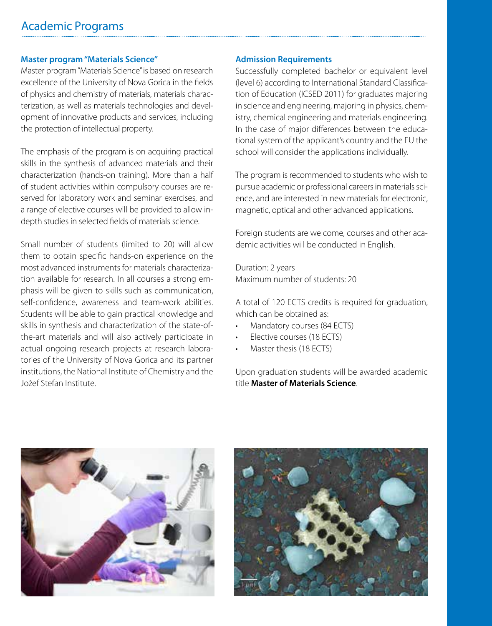#### **Master program "Materials Science"**

Master program "Materials Science" is based on research excellence of the University of Nova Gorica in the fields of physics and chemistry of materials, materials characterization, as well as materials technologies and development of innovative products and services, including the protection of intellectual property.

The emphasis of the program is on acquiring practical skills in the synthesis of advanced materials and their characterization (hands-on training). More than a half of student activities within compulsory courses are reserved for laboratory work and seminar exercises, and a range of elective courses will be provided to allow indepth studies in selected fields of materials science.

Small number of students (limited to 20) will allow them to obtain specific hands-on experience on the most advanced instruments for materials characterization available for research. In all courses a strong emphasis will be given to skills such as communication, self-confidence, awareness and team-work abilities. Students will be able to gain practical knowledge and skills in synthesis and characterization of the state-ofthe-art materials and will also actively participate in actual ongoing research projects at research laboratories of the University of Nova Gorica and its partner institutions, the National Institute of Chemistry and the Jožef Stefan Institute.

#### **Admission Requirements**

Successfully completed bachelor or equivalent level (level 6) according to International Standard Classification of Education (ICSED 2011) for graduates majoring in science and engineering, majoring in physics, chemistry, chemical engineering and materials engineering. In the case of major differences between the educational system of the applicant's country and the EU the school will consider the applications individually.

The program is recommended to students who wish to pursue academic or professional careers in materials science, and are interested in new materials for electronic, magnetic, optical and other advanced applications.

Foreign students are welcome, courses and other academic activities will be conducted in English.

Duration: 2 years Maximum number of students: 20

A total of 120 ECTS credits is required for graduation, which can be obtained as:

- Mandatory courses (84 ECTS)
- Elective courses (18 ECTS)
- Master thesis (18 ECTS)

Upon graduation students will be awarded academic title **Master of Materials Science**.



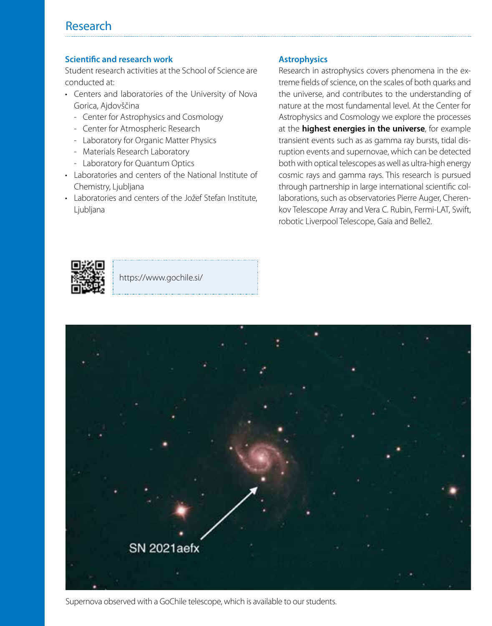## Research

#### **Scientific and research work**

Student research activities at the School of Science are conducted at:

- Centers and laboratories of the University of Nova Gorica, Ajdovščina
	- Center for Astrophysics and Cosmology
	- Center for Atmospheric Research
	- Laboratory for Organic Matter Physics
	- Materials Research Laboratory
	- Laboratory for Quantum Optics
- Laboratories and centers of the National Institute of Chemistry, Ljubljana
- Laboratories and centers of the Jožef Stefan Institute. Liubliana

#### **Astrophysics**

Research in astrophysics covers phenomena in the extreme fields of science, on the scales of both quarks and the universe, and contributes to the understanding of nature at the most fundamental level. At the Center for Astrophysics and Cosmology we explore the processes at the **highest energies in the universe**, for example transient events such as as gamma ray bursts, tidal disruption events and supernovae, which can be detected both with optical telescopes as well as ultra-high energy cosmic rays and gamma rays. This research is pursued through partnership in large international scientific collaborations, such as observatories Pierre Auger, Cherenkov Telescope Array and Vera C. Rubin, Fermi-LAT, Swift, robotic Liverpool Telescope, Gaia and Belle2.



https://www.gochile.si/



Supernova observed with a GoChile telescope, which is available to our students.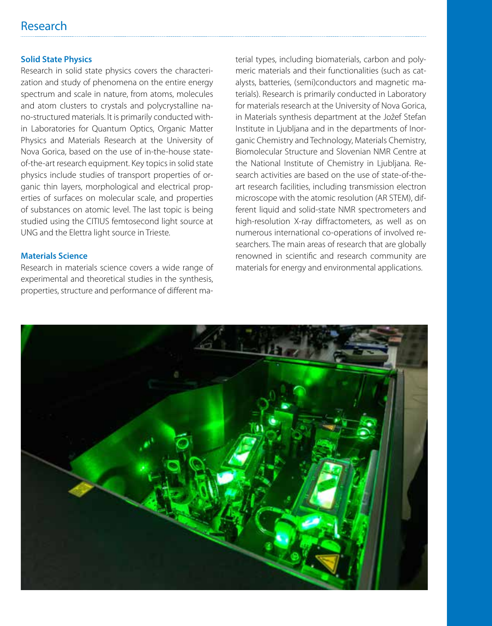## Research

#### **Solid State Physics**

Research in solid state physics covers the characterization and study of phenomena on the entire energy spectrum and scale in nature, from atoms, molecules and atom clusters to crystals and polycrystalline nano-structured materials. It is primarily conducted within Laboratories for Quantum Optics, Organic Matter Physics and Materials Research at the University of Nova Gorica, based on the use of in-the-house stateof-the-art research equipment. Key topics in solid state physics include studies of transport properties of organic thin layers, morphological and electrical properties of surfaces on molecular scale, and properties of substances on atomic level. The last topic is being studied using the CITIUS femtosecond light source at UNG and the Elettra light source in Trieste.

#### **Materials Science**

Research in materials science covers a wide range of experimental and theoretical studies in the synthesis, properties, structure and performance of different material types, including biomaterials, carbon and polymeric materials and their functionalities (such as catalysts, batteries, (semi)conductors and magnetic materials). Research is primarily conducted in Laboratory for materials research at the University of Nova Gorica, in Materials synthesis department at the Jožef Stefan Institute in Ljubljana and in the departments of Inorganic Chemistry and Technology, Materials Chemistry, Biomolecular Structure and Slovenian NMR Centre at the National Institute of Chemistry in Ljubljana. Research activities are based on the use of state-of-theart research facilities, including transmission electron microscope with the atomic resolution (AR STEM), different liquid and solid-state NMR spectrometers and high-resolution X-ray diffractometers, as well as on numerous international co-operations of involved researchers. The main areas of research that are globally renowned in scientific and research community are materials for energy and environmental applications.